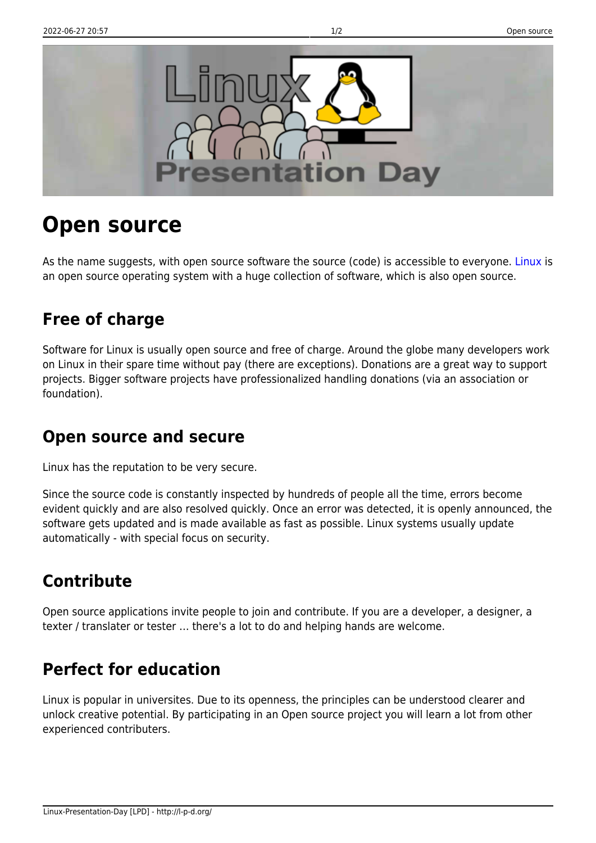

# **Open source**

As the name suggests, with open source software the source (code) is accessible to everyone. [Linux](http://l-p-d.org/en/public/linux) is an open source operating system with a huge collection of software, which is also open source.

### **Free of charge**

Software for Linux is usually open source and free of charge. Around the globe many developers work on Linux in their spare time without pay (there are exceptions). Donations are a great way to support projects. Bigger software projects have professionalized handling donations (via an association or foundation).

#### **Open source and secure**

Linux has the reputation to be very secure.

Since the source code is constantly inspected by hundreds of people all the time, errors become evident quickly and are also resolved quickly. Once an error was detected, it is openly announced, the software gets updated and is made available as fast as possible. Linux systems usually update automatically - with special focus on security.

# **Contribute**

Open source applications invite people to join and contribute. If you are a developer, a designer, a texter / translater or tester … there's a lot to do and helping hands are welcome.

## **Perfect for education**

Linux is popular in universites. Due to its openness, the principles can be understood clearer and unlock creative potential. By participating in an Open source project you will learn a lot from other experienced contributers.